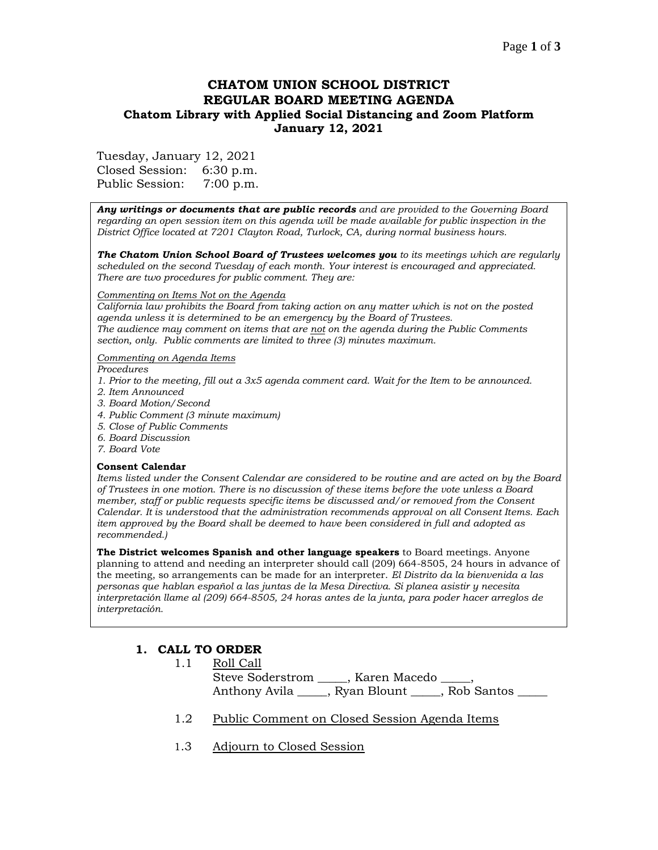## Page **1** of **3**

# **CHATOM UNION SCHOOL DISTRICT REGULAR BOARD MEETING AGENDA Chatom Library with Applied Social Distancing and Zoom Platform January 12, 2021**

Tuesday, January 12, 2021

Closed Session: 6:30 p.m. Public Session: 7:00 p.m.

*Any writings or documents that are public records and are provided to the Governing Board regarding an open session item on this agenda will be made available for public inspection in the District Office located at 7201 Clayton Road, Turlock, CA, during normal business hours.*

*The Chatom Union School Board of Trustees welcomes you to its meetings which are regularly scheduled on the second Tuesday of each month. Your interest is encouraged and appreciated. There are two procedures for public comment. They are:*

#### *Commenting on Items Not on the Agenda*

*California law prohibits the Board from taking action on any matter which is not on the posted agenda unless it is determined to be an emergency by the Board of Trustees. The audience may comment on items that are not on the agenda during the Public Comments section, only. Public comments are limited to three (3) minutes maximum.*

#### *Commenting on Agenda Items*

*Procedures* 

- *1. Prior to the meeting, fill out a 3x5 agenda comment card. Wait for the Item to be announced.*
- *2. Item Announced*
- *3. Board Motion/Second*
- *4. Public Comment (3 minute maximum)*
- *5. Close of Public Comments*
- *6. Board Discussion*
- *7. Board Vote*

#### **Consent Calendar**

*Items listed under the Consent Calendar are considered to be routine and are acted on by the Board of Trustees in one motion. There is no discussion of these items before the vote unless a Board member, staff or public requests specific items be discussed and/or removed from the Consent Calendar. It is understood that the administration recommends approval on all Consent Items. Each item approved by the Board shall be deemed to have been considered in full and adopted as recommended.)*

**The District welcomes Spanish and other language speakers** to Board meetings. Anyone planning to attend and needing an interpreter should call (209) 664-8505, 24 hours in advance of the meeting, so arrangements can be made for an interpreter. *El Distrito da la bienvenida a las personas que hablan español a las juntas de la Mesa Directiva. Si planea asistir y necesita interpretación llame al (209) 664-8505, 24 horas antes de la junta, para poder hacer arreglos de interpretación.*

# **1. CALL TO ORDER**

| 1.1 | Roll Call |                                                     |  |
|-----|-----------|-----------------------------------------------------|--|
|     |           | Steve Soderstrom ______, Karen Macedo _____,        |  |
|     |           | Anthony Avila ______, Ryan Blount _____, Rob Santos |  |

- 1.2 Public Comment on Closed Session Agenda Items
- 1.3 Adjourn to Closed Session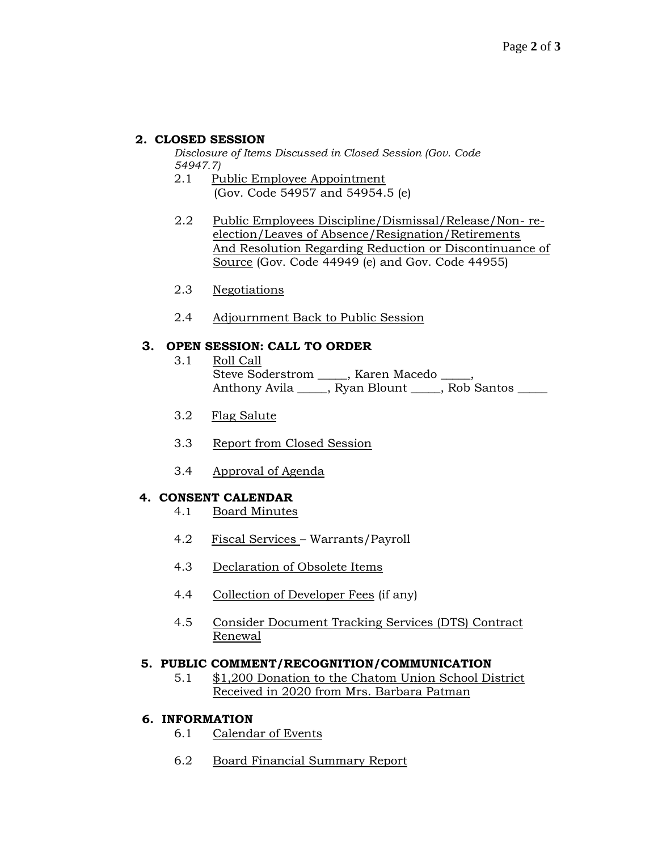## **2. CLOSED SESSION**

*Disclosure of Items Discussed in Closed Session (Gov. Code 54947.7)*

- 2.1 Public Employee Appointment (Gov. Code 54957 and 54954.5 (e)
- 2.2 Public Employees Discipline/Dismissal/Release/Non- reelection/Leaves of Absence/Resignation/Retirements And Resolution Regarding Reduction or Discontinuance of Source (Gov. Code 44949 (e) and Gov. Code 44955)
- 2.3 Negotiations
- 2.4 Adjournment Back to Public Session

## **3. OPEN SESSION: CALL TO ORDER**

- 3.1 Roll Call Steve Soderstrom \_\_\_\_\_, Karen Macedo \_\_\_\_\_, Anthony Avila \_\_\_\_\_, Ryan Blount \_\_\_\_, Rob Santos \_\_\_\_
- 3.2 Flag Salute
- 3.3 Report from Closed Session
- 3.4 Approval of Agenda

### **4. CONSENT CALENDAR**

- 4.1 Board Minutes
- 4.2 Fiscal Services Warrants/Payroll
- 4.3 Declaration of Obsolete Items
- 4.4 Collection of Developer Fees (if any)
- 4.5 Consider Document Tracking Services (DTS) Contract Renewal

### **5. PUBLIC COMMENT/RECOGNITION/COMMUNICATION**

5.1 \$1,200 Donation to the Chatom Union School District Received in 2020 from Mrs. Barbara Patman

### **6. INFORMATION**

- 6.1 Calendar of Events
- 6.2 Board Financial Summary Report